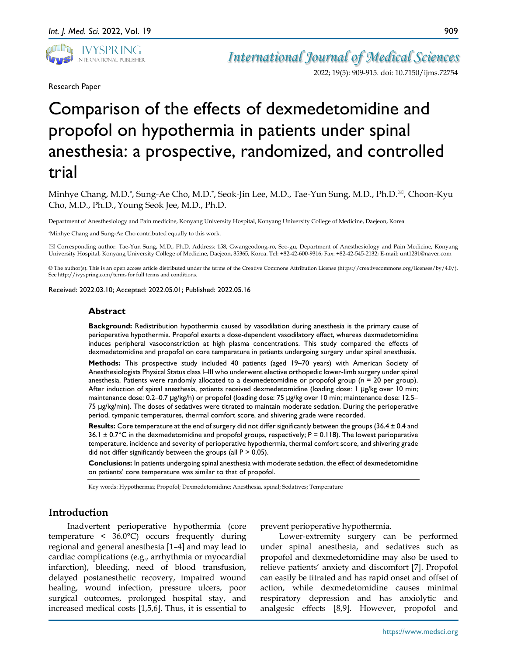

*International Journal of Medical Sciences*

2022; 19(5): 909-915. doi: 10.7150/ijms.72754

Research Paper

# Comparison of the effects of dexmedetomidine and propofol on hypothermia in patients under spinal anesthesia: a prospective, randomized, and controlled trial

Minhye Chang, M.D.<sup>\*</sup>, Sung-Ae Cho, M.D.<sup>\*</sup>, Seok-Jin Lee, M.D., Tae-Yun Sung, M.D., Ph.D. $^{\boxtimes}$ , Choon-Kyu Cho, M.D., Ph.D., Young Seok Jee, M.D., Ph.D.

Department of Anesthesiology and Pain medicine, Konyang University Hospital, Konyang University College of Medicine, Daejeon, Korea

\*Minhye Chang and Sung-Ae Cho contributed equally to this work.

 Corresponding author: Tae-Yun Sung, M.D., Ph.D. Address: 158, Gwangeodong-ro, Seo-gu, Department of Anesthesiology and Pain Medicine, Konyang University Hospital, Konyang University College of Medicine, Daejeon, 35365, Korea. Tel: +82-42-600-9316; Fax: +82-42-545-2132; E-mail: unt1231@naver.com

© The author(s). This is an open access article distributed under the terms of the Creative Commons Attribution License (https://creativecommons.org/licenses/by/4.0/). See http://ivyspring.com/terms for full terms and conditions.

Received: 2022.03.10; Accepted: 2022.05.01; Published: 2022.05.16

#### **Abstract**

**Background:** Redistribution hypothermia caused by vasodilation during anesthesia is the primary cause of perioperative hypothermia. Propofol exerts a dose-dependent vasodilatory effect, whereas dexmedetomidine induces peripheral vasoconstriction at high plasma concentrations. This study compared the effects of dexmedetomidine and propofol on core temperature in patients undergoing surgery under spinal anesthesia.

**Methods:** This prospective study included 40 patients (aged 19–70 years) with American Society of Anesthesiologists Physical Status class I–III who underwent elective orthopedic lower-limb surgery under spinal anesthesia. Patients were randomly allocated to a dexmedetomidine or propofol group (*n* = 20 per group). After induction of spinal anesthesia, patients received dexmedetomidine (loading dose: 1 μg/kg over 10 min; maintenance dose: 0.2–0.7 μg/kg/h) or propofol (loading dose: 75 μg/kg over 10 min; maintenance dose: 12.5– 75 μg/kg/min). The doses of sedatives were titrated to maintain moderate sedation. During the perioperative period, tympanic temperatures, thermal comfort score, and shivering grade were recorded.

**Results:** Core temperature at the end of surgery did not differ significantly between the groups (36.4 ± 0.4 and 36.1  $\pm$  0.7°C in the dexmedetomidine and propofol groups, respectively; P = 0.118). The lowest perioperative temperature, incidence and severity of perioperative hypothermia, thermal comfort score, and shivering grade did not differ significantly between the groups (all  $P > 0.05$ ).

**Conclusions:** In patients undergoing spinal anesthesia with moderate sedation, the effect of dexmedetomidine on patients' core temperature was similar to that of propofol.

Key words: Hypothermia; Propofol; Dexmedetomidine; Anesthesia, spinal; Sedatives; Temperature

## **Introduction**

Inadvertent perioperative hypothermia (core temperature < 36.0°C) occurs frequently during regional and general anesthesia [1–4] and may lead to cardiac complications (e.g., arrhythmia or myocardial infarction), bleeding, need of blood transfusion, delayed postanesthetic recovery, impaired wound healing, wound infection, pressure ulcers, poor surgical outcomes, prolonged hospital stay, and increased medical costs [1,5,6]. Thus, it is essential to

prevent perioperative hypothermia.

Lower-extremity surgery can be performed under spinal anesthesia, and sedatives such as propofol and dexmedetomidine may also be used to relieve patients' anxiety and discomfort [7]. Propofol can easily be titrated and has rapid onset and offset of action, while dexmedetomidine causes minimal respiratory depression and has anxiolytic and analgesic effects [8,9]. However, propofol and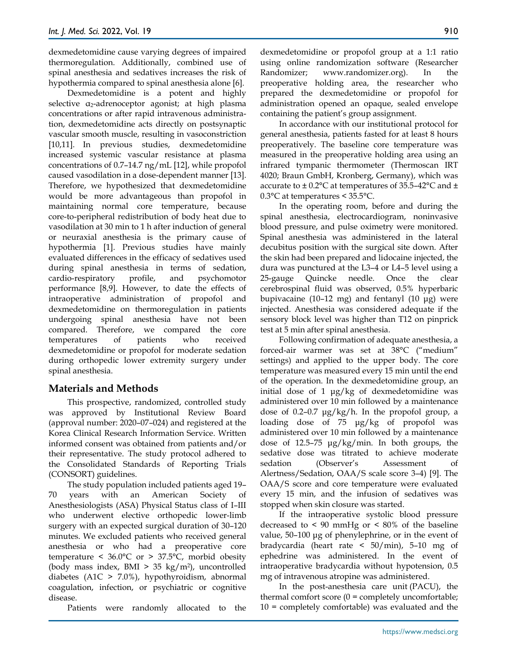dexmedetomidine cause varying degrees of impaired thermoregulation. Additionally, combined use of spinal anesthesia and sedatives increases the risk of hypothermia compared to spinal anesthesia alone [6].

Dexmedetomidine is a potent and highly selective α2-adrenoceptor agonist; at high plasma concentrations or after rapid intravenous administration, dexmedetomidine acts directly on postsynaptic vascular smooth muscle, resulting in vasoconstriction [10,11]. In previous studies, dexmedetomidine increased systemic vascular resistance at plasma concentrations of 0.7–14.7 ng/mL [12], while propofol caused vasodilation in a dose-dependent manner [13]. Therefore, we hypothesized that dexmedetomidine would be more advantageous than propofol in maintaining normal core temperature, because core-to-peripheral redistribution of body heat due to vasodilation at 30 min to 1 h after induction of general or neuraxial anesthesia is the primary cause of hypothermia [1]. Previous studies have mainly evaluated differences in the efficacy of sedatives used during spinal anesthesia in terms of sedation, cardio-respiratory profile, and psychomotor performance [8,9]. However, to date the effects of intraoperative administration of propofol and dexmedetomidine on thermoregulation in patients undergoing spinal anesthesia have not been compared. Therefore, we compared the core temperatures of patients who received dexmedetomidine or propofol for moderate sedation during orthopedic lower extremity surgery under spinal anesthesia.

# **Materials and Methods**

This prospective, randomized, controlled study was approved by Institutional Review Board (approval number: 2020–07–024) and registered at the Korea Clinical Research Information Service. Written informed consent was obtained from patients and/or their representative. The study protocol adhered to the Consolidated Standards of Reporting Trials (CONSORT) guidelines.

The study population included patients aged 19– 70 years with an American Society of Anesthesiologists (ASA) Physical Status class of I–III who underwent elective orthopedic lower-limb surgery with an expected surgical duration of 30–120 minutes. We excluded patients who received general anesthesia or who had a preoperative core temperature <  $36.0^{\circ}$ C or >  $37.5^{\circ}$ C, morbid obesity (body mass index,  $BMI > 35 \text{ kg/m}^2$ ), uncontrolled diabetes (A1C > 7.0%), hypothyroidism, abnormal coagulation, infection, or psychiatric or cognitive disease.

Patients were randomly allocated to the

dexmedetomidine or propofol group at a 1:1 ratio using online randomization software (Researcher Randomizer; www.randomizer.org). In the preoperative holding area, the researcher who prepared the dexmedetomidine or propofol for administration opened an opaque, sealed envelope containing the patient's group assignment.

In accordance with our institutional protocol for general anesthesia, patients fasted for at least 8 hours preoperatively. The baseline core temperature was measured in the preoperative holding area using an infrared tympanic thermometer (Thermoscan IRT 4020; Braun GmbH, Kronberg, Germany), which was accurate to  $\pm$  0.2°C at temperatures of 35.5–42°C and  $\pm$ 0.3°C at temperatures < 35.5°C.

In the operating room, before and during the spinal anesthesia, electrocardiogram, noninvasive blood pressure, and pulse oximetry were monitored. Spinal anesthesia was administered in the lateral decubitus position with the surgical site down. After the skin had been prepared and lidocaine injected, the dura was punctured at the L3–4 or L4–5 level using a 25-gauge Quincke needle. Once the clear cerebrospinal fluid was observed, 0.5% hyperbaric bupivacaine (10–12 mg) and fentanyl (10 μg) were injected. Anesthesia was considered adequate if the sensory block level was higher than T12 on pinprick test at 5 min after spinal anesthesia.

Following confirmation of adequate anesthesia, a forced-air warmer was set at 38°C ("medium" settings) and applied to the upper body. The core temperature was measured every 15 min until the end of the operation. In the dexmedetomidine group, an initial dose of 1 μg/kg of dexmedetomidine was administered over 10 min followed by a maintenance dose of 0.2–0.7  $\mu$ g/kg/h. In the propofol group, a loading dose of 75 μg/kg of propofol was administered over 10 min followed by a maintenance dose of 12.5–75 μg/kg/min. In both groups, the sedative dose was titrated to achieve moderate sedation (Observer's Assessment of Alertness/Sedation, OAA/S scale score 3–4) [9]. The OAA/S score and core temperature were evaluated every 15 min, and the infusion of sedatives was stopped when skin closure was started.

If the intraoperative systolic blood pressure decreased to  $\leq 90$  mmHg or  $\leq 80\%$  of the baseline value, 50–100 μg of phenylephrine, or in the event of bradycardia (heart rate < 50/min), 5–10 mg of ephedrine was administered. In the event of intraoperative bradycardia without hypotension, 0.5 mg of intravenous atropine was administered.

In the post-anesthesia care unit (PACU), the thermal comfort score  $(0 =$  completely uncomfortable; 10 = completely comfortable) was evaluated and the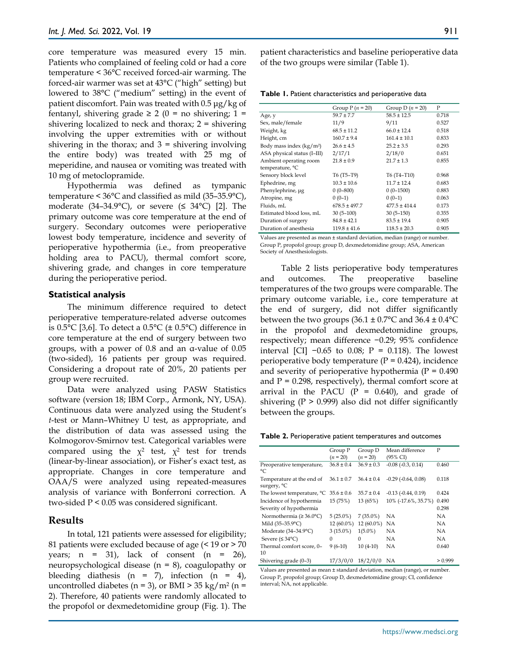core temperature was measured every 15 min. Patients who complained of feeling cold or had a core temperature < 36°C received forced-air warming. The forced-air warmer was set at 43°C ("high" setting) but lowered to 38°C ("medium" setting) in the event of patient discomfort. Pain was treated with 0.5 μg/kg of fentanyl, shivering grade  $\geq 2$  (0 = no shivering; 1 = shivering localized to neck and thorax; 2 = shivering involving the upper extremities with or without shivering in the thorax; and  $3 =$  shivering involving the entire body) was treated with 25 mg of meperidine, and nausea or vomiting was treated with 10 mg of metoclopramide.

Hypothermia was defined as tympanic temperature < 36°C and classified as mild (35–35.9°C), moderate (34–34.9°C), or severe ( $\leq 34$ °C) [2]. The primary outcome was core temperature at the end of surgery. Secondary outcomes were perioperative lowest body temperature, incidence and severity of perioperative hypothermia (i.e., from preoperative holding area to PACU), thermal comfort score, shivering grade, and changes in core temperature during the perioperative period.

#### **Statistical analysis**

The minimum difference required to detect perioperative temperature-related adverse outcomes is 0.5 $\textdegree$ C [3,6]. To detect a 0.5 $\textdegree$ C ( $\pm$  0.5 $\textdegree$ C) difference in core temperature at the end of surgery between two groups, with a power of 0.8 and an α-value of 0.05 (two-sided), 16 patients per group was required. Considering a dropout rate of 20%, 20 patients per group were recruited.

Data were analyzed using PASW Statistics software (version 18; IBM Corp., Armonk, NY, USA). Continuous data were analyzed using the Student's *t*-test or Mann–Whitney U test, as appropriate, and the distribution of data was assessed using the Kolmogorov-Smirnov test. Categorical variables were compared using the  $\chi^2$  test,  $\chi^2$  test for trends (linear-by-linear association), or Fisher's exact test, as appropriate. Changes in core temperature and OAA/S were analyzed using repeated-measures analysis of variance with Bonferroni correction. A two-sided P < 0.05 was considered significant.

#### **Results**

In total, 121 patients were assessed for eligibility; 81 patients were excluded because of age (< 19 or > 70 years;  $n = 31$ , lack of consent  $(n = 26)$ , neuropsychological disease (n = 8), coagulopathy or bleeding diathesis (n = 7), infection (n = 4), uncontrolled diabetes ( $n = 3$ ), or BMI > 35 kg/ $m^2$  ( $n =$ 2). Therefore, 40 patients were randomly allocated to the propofol or dexmedetomidine group (Fig. 1). The patient characteristics and baseline perioperative data of the two groups were similar (Table 1).

**Table 1.** Patient characteristics and perioperative data

|                             | Group $P(n = 20)$ | Group D $(n = 20)$ | P     |
|-----------------------------|-------------------|--------------------|-------|
| Age, y                      | $59.7 + 7.7$      | $58.5 \pm 12.5$    | 0.718 |
| Sex, male/female            | 11/9              | 9/11               | 0.527 |
| Weight, kg                  | $68.5 \pm 11.2$   | $66.0 + 12.4$      | 0.518 |
| Height, cm                  | $160.7 + 9.4$     | $161.4 + 10.1$     | 0.833 |
| Body mass index $(kg/m2)$   | $26.6 \pm 4.5$    | $25.2 \pm 3.5$     | 0.293 |
| ASA physical status (I-III) | 2/17/1            | 2/18/0             | 0.651 |
| Ambient operating room      | $21.8 \pm 0.9$    | $21.7 + 1.3$       | 0.855 |
| temperature, °C             |                   |                    |       |
| Sensory block level         | T6 (T5-T9)        | T6 (T4-T10)        | 0.968 |
| Ephedrine, mg               | $10.3 \pm 10.6$   | $11.7 \pm 12.4$    | 0.683 |
| Phenylephrine, µg           | $0(0-800)$        | $0(0-1500)$        | 0.883 |
| Atropine, mg                | $0(0-1)$          | $0(0-1)$           | 0.063 |
| Fluids, mL                  | $678.5 \pm 497.7$ | $477.5 + 414.4$    | 0.173 |
| Estimated blood loss, mL    | $30(5-100)$       | $30(5-150)$        | 0.355 |
| Duration of surgery         | $84.8 \pm 42.1$   | $83.5 \pm 19.4$    | 0.905 |
| Duration of anesthesia      | $119.8 \pm 41.6$  | $118.5 \pm 20.3$   | 0.905 |

Values are presented as mean ± standard deviation, median (range) or number. Group P, propofol group; group D, dexmedetomidine group; ASA, American Society of Anesthesiologists.

Table 2 lists perioperative body temperatures and outcomes. The preoperative baseline temperatures of the two groups were comparable. The primary outcome variable, i.e., core temperature at the end of surgery, did not differ significantly between the two groups  $(36.1 \pm 0.7^{\circ}\text{C}$  and  $36.4 \pm 0.4^{\circ}\text{C}$ in the propofol and dexmedetomidine groups, respectively; mean difference −0.29; 95% confidence interval [CI]  $-0.65$  to 0.08; P = 0.118). The lowest perioperative body temperature  $(P = 0.424)$ , incidence and severity of perioperative hypothermia ( $P = 0.490$ ) and  $P = 0.298$ , respectively), thermal comfort score at arrival in the PACU  $(P = 0.640)$ , and grade of shivering ( $P > 0.999$ ) also did not differ significantly between the groups.

| Table 2. Perioperative patient temperatures and outcomes |  |  |  |  |
|----------------------------------------------------------|--|--|--|--|
|----------------------------------------------------------|--|--|--|--|

|                                          | Group P        | Group D        | Mean difference         | P       |
|------------------------------------------|----------------|----------------|-------------------------|---------|
|                                          | $(n = 20)$     | $(n = 20)$     | (95% CI)                |         |
| Preoperative temperature,<br>°C          | $36.8 \pm 0.4$ | $36.9 \pm 0.3$ | $-0.08$ $(-0.3, 0.14)$  | 0.460   |
| Temperature at the end of<br>surgery, °C | $36.1 \pm 0.7$ | $36.4 \pm 0.4$ | $-0.29$ $(-0.64, 0.08)$ | 0.118   |
| The lowest temperature, °C               | $35.6 \pm 0.6$ | $35.7 \pm 0.4$ | $-0.13$ $(-0.44, 0.19)$ | 0.424   |
| Incidence of hypothermia                 | 15 (75%)       | 13 (65%)       | 10% (-17.6%, 35.7%)     | 0.490   |
| Severity of hypothermia                  |                |                |                         | 0.298   |
| Normothermia ( $\geq 36.0^{\circ}$ C)    | $5(25.0\%)$    | $7(35.0\%)$    | NА                      | NА      |
| Mild (35-35.9°C)                         | $12(60.0\%)$   | $12(60.0\%)$   | NA                      | NА      |
| Moderate (34-34.9°C)                     | $3(15.0\%)$    | $1(5.0\%)$     | NА                      | NΑ      |
| Severe $( \leq 34^{\circ}C)$             | 0              | $\Omega$       | NА                      | NΑ      |
| Thermal comfort score, 0-<br>10          | $9(6-10)$      | $10(4-10)$     | NА                      | 0.640   |
| Shivering grade (0-3)                    | 17/3/0/0       | 18/2/0/0       | NА                      | > 0.999 |

Values are presented as mean ± standard deviation, median (range), or number. Group P, propofol group; Group D, dexmedetomidine group; CI, confidence interval; NA, not applicable.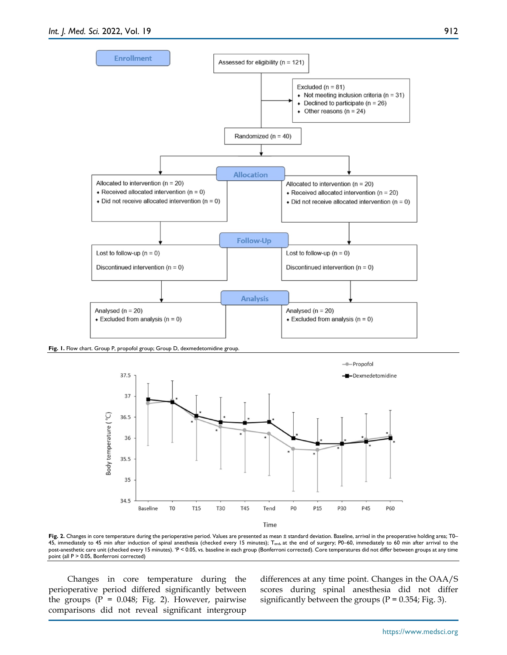

**Fig. 1.** Flow chart. Group P, propofol group; Group D, dexmedetomidine group.



**Fig. 2.** Changes in core temperature during the perioperative period. Values are presented as mean ± standard deviation. Baseline, arrival in the preoperative holding area; T0– 45, immediately to 45 min after induction of spinal anesthesia (checked every 15 minutes); T<sub>end</sub>, at the end of surgery; P0–60, immediately to 60 min after arrival to the post-anesthetic care unit (checked every 15 minutes). \*P < 0.05, vs. baseline in each group (Bonferroni corrected). Core temperatures did not differ between groups at any time point (all P > 0.05, Bonferroni corrected)

Changes in core temperature during the perioperative period differed significantly between the groups  $(P = 0.048; Fig. 2)$ . However, pairwise comparisons did not reveal significant intergroup differences at any time point. Changes in the OAA/S scores during spinal anesthesia did not differ significantly between the groups ( $P = 0.354$ ; Fig. 3).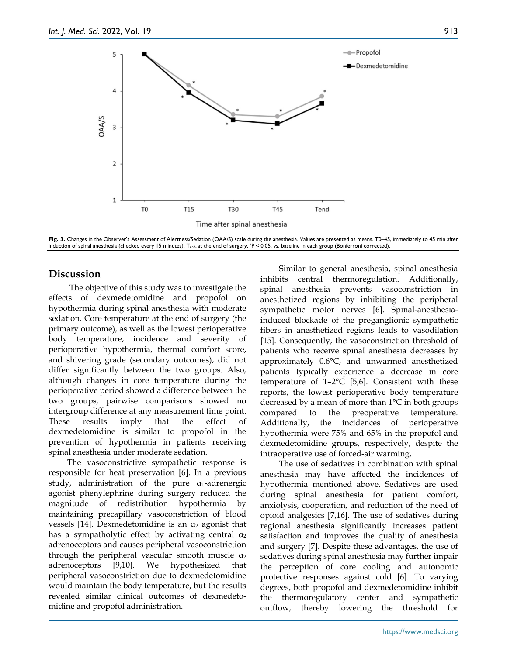

Fig. 3. Changes in the Observer's Assessment of Alertness/Sedation (OAA/S) scale during the anesthesia. Values are presented as means. T0–45, immediately to 45 min after induction of spinal anesthesia (checked every 15 minutes); Tend, at the end of surgery. \*P < 0.05, vs. baseline in each group (Bonferroni corrected).

## **Discussion**

The objective of this study was to investigate the effects of dexmedetomidine and propofol on hypothermia during spinal anesthesia with moderate sedation. Core temperature at the end of surgery (the primary outcome), as well as the lowest perioperative body temperature, incidence and severity of perioperative hypothermia, thermal comfort score, and shivering grade (secondary outcomes), did not differ significantly between the two groups. Also, although changes in core temperature during the perioperative period showed a difference between the two groups, pairwise comparisons showed no intergroup difference at any measurement time point. These results imply that the effect of dexmedetomidine is similar to propofol in the prevention of hypothermia in patients receiving spinal anesthesia under moderate sedation.

The vasoconstrictive sympathetic response is responsible for heat preservation [6]. In a previous study, administration of the pure  $\alpha_1$ -adrenergic agonist phenylephrine during surgery reduced the magnitude of redistribution hypothermia by maintaining precapillary vasoconstriction of blood vessels [14]. Dexmedetomidine is an  $\alpha_2$  agonist that has a sympatholytic effect by activating central  $\alpha_2$ adrenoceptors and causes peripheral vasoconstriction through the peripheral vascular smooth muscle  $\alpha_2$ adrenoceptors [9,10]. We hypothesized that peripheral vasoconstriction due to dexmedetomidine would maintain the body temperature, but the results revealed similar clinical outcomes of dexmedetomidine and propofol administration.

Similar to general anesthesia, spinal anesthesia inhibits central thermoregulation. Additionally, spinal anesthesia prevents vasoconstriction in anesthetized regions by inhibiting the peripheral sympathetic motor nerves [6]. Spinal-anesthesiainduced blockade of the preganglionic sympathetic fibers in anesthetized regions leads to vasodilation [15]. Consequently, the vasoconstriction threshold of patients who receive spinal anesthesia decreases by approximately 0.6°C, and unwarmed anesthetized patients typically experience a decrease in core temperature of 1–2°C [5,6]. Consistent with these reports, the lowest perioperative body temperature decreased by a mean of more than 1°C in both groups compared to the preoperative temperature. Additionally, the incidences of perioperative hypothermia were 75% and 65% in the propofol and dexmedetomidine groups, respectively, despite the intraoperative use of forced-air warming.

The use of sedatives in combination with spinal anesthesia may have affected the incidences of hypothermia mentioned above. Sedatives are used during spinal anesthesia for patient comfort, anxiolysis, cooperation, and reduction of the need of opioid analgesics [7,16]. The use of sedatives during regional anesthesia significantly increases patient satisfaction and improves the quality of anesthesia and surgery [7]. Despite these advantages, the use of sedatives during spinal anesthesia may further impair the perception of core cooling and autonomic protective responses against cold [6]. To varying degrees, both propofol and dexmedetomidine inhibit the thermoregulatory center and sympathetic outflow, thereby lowering the threshold for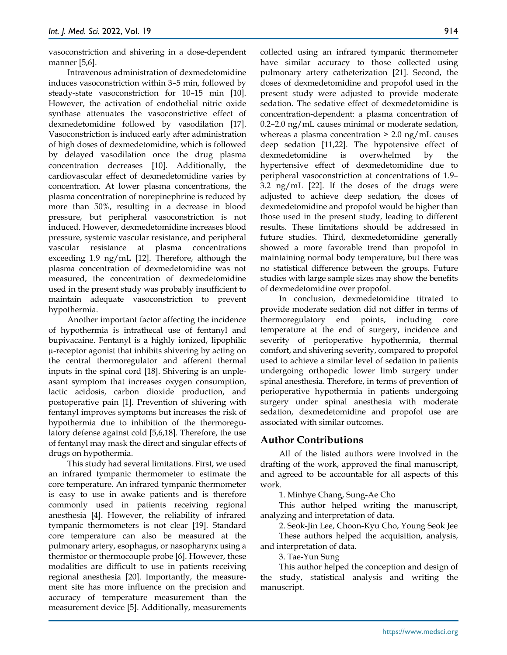vasoconstriction and shivering in a dose-dependent manner [5,6].

Intravenous administration of dexmedetomidine induces vasoconstriction within 3–5 min, followed by steady-state vasoconstriction for 10–15 min [10]. However, the activation of endothelial nitric oxide synthase attenuates the vasoconstrictive effect of dexmedetomidine followed by vasodilation [17]. Vasoconstriction is induced early after administration of high doses of dexmedetomidine, which is followed by delayed vasodilation once the drug plasma concentration decreases [10]. Additionally, the cardiovascular effect of dexmedetomidine varies by concentration. At lower plasma concentrations, the plasma concentration of norepinephrine is reduced by more than 50%, resulting in a decrease in blood pressure, but peripheral vasoconstriction is not induced. However, dexmedetomidine increases blood pressure, systemic vascular resistance, and peripheral vascular resistance at plasma concentrations exceeding 1.9 ng/mL [12]. Therefore, although the plasma concentration of dexmedetomidine was not measured, the concentration of dexmedetomidine used in the present study was probably insufficient to maintain adequate vasoconstriction to prevent hypothermia.

Another important factor affecting the incidence of hypothermia is intrathecal use of fentanyl and bupivacaine. Fentanyl is a highly ionized, lipophilic µ-receptor agonist that inhibits shivering by acting on the central thermoregulator and afferent thermal inputs in the spinal cord [18]. Shivering is an unpleasant symptom that increases oxygen consumption, lactic acidosis, carbon dioxide production, and postoperative pain [1]. Prevention of shivering with fentanyl improves symptoms but increases the risk of hypothermia due to inhibition of the thermoregulatory defense against cold [5,6,18]. Therefore, the use of fentanyl may mask the direct and singular effects of drugs on hypothermia.

This study had several limitations. First, we used an infrared tympanic thermometer to estimate the core temperature. An infrared tympanic thermometer is easy to use in awake patients and is therefore commonly used in patients receiving regional anesthesia [4]. However, the reliability of infrared tympanic thermometers is not clear [19]. Standard core temperature can also be measured at the pulmonary artery, esophagus, or nasopharynx using a thermistor or thermocouple probe [6]. However, these modalities are difficult to use in patients receiving regional anesthesia [20]. Importantly, the measurement site has more influence on the precision and accuracy of temperature measurement than the measurement device [5]. Additionally, measurements

collected using an infrared tympanic thermometer have similar accuracy to those collected using pulmonary artery catheterization [21]. Second, the doses of dexmedetomidine and propofol used in the present study were adjusted to provide moderate sedation. The sedative effect of dexmedetomidine is concentration-dependent: a plasma concentration of 0.2–2.0 ng/mL causes minimal or moderate sedation, whereas a plasma concentration  $> 2.0$  ng/mL causes deep sedation [11,22]. The hypotensive effect of dexmedetomidine is overwhelmed by the hypertensive effect of dexmedetomidine due to peripheral vasoconstriction at concentrations of 1.9– 3.2 ng/mL [22]. If the doses of the drugs were adjusted to achieve deep sedation, the doses of dexmedetomidine and propofol would be higher than those used in the present study, leading to different results. These limitations should be addressed in future studies. Third, dexmedetomidine generally showed a more favorable trend than propofol in maintaining normal body temperature, but there was no statistical difference between the groups. Future studies with large sample sizes may show the benefits of dexmedetomidine over propofol.

In conclusion, dexmedetomidine titrated to provide moderate sedation did not differ in terms of thermoregulatory end points, including core temperature at the end of surgery, incidence and severity of perioperative hypothermia, thermal comfort, and shivering severity, compared to propofol used to achieve a similar level of sedation in patients undergoing orthopedic lower limb surgery under spinal anesthesia. Therefore, in terms of prevention of perioperative hypothermia in patients undergoing surgery under spinal anesthesia with moderate sedation, dexmedetomidine and propofol use are associated with similar outcomes.

# **Author Contributions**

All of the listed authors were involved in the drafting of the work, approved the final manuscript, and agreed to be accountable for all aspects of this work.

1. Minhye Chang, Sung-Ae Cho

This author helped writing the manuscript, analyzing and interpretation of data.

2. Seok-Jin Lee, Choon-Kyu Cho, Young Seok Jee These authors helped the acquisition, analysis, and interpretation of data.

3. Tae-Yun Sung

This author helped the conception and design of the study, statistical analysis and writing the manuscript.